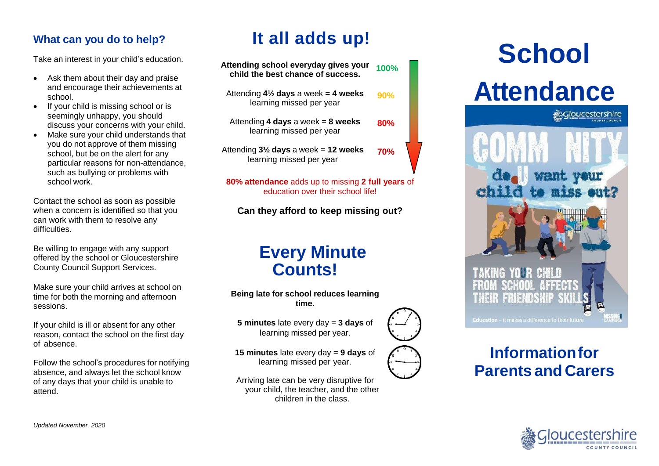## **What can you do to help?**

Take an interest in your child's education.

- Ask them about their day and praise and encourage their achievements at school.
- If your child is missing school or is seemingly unhappy, you should discuss your concerns with your child.
- Make sure your child understands that you do not approve of them missing school, but be on the alert for any particular reasons for non-attendance, such as bullying or problems with school work.

Contact the school as soon as possible when a concern is identified so that you can work with them to resolve any difficulties

Be willing to engage with any support offered by the school or Gloucestershire County Council Support Services.

Make sure your child arrives at school on time for both the morning and afternoon sessions.

If your child is ill or absent for any other reason, contact the school on the first day of absence.

Follow the school's procedures for notifying absence, and always let the school know of any days that your child is unable to attend.

# **It all adds up!**

| Attending school everyday gives your<br>child the best chance of success.   | 100%       |
|-----------------------------------------------------------------------------|------------|
| Attending $4\frac{1}{2}$ days a week = 4 weeks<br>learning missed per year  | 90%        |
| Attending 4 days a week = $8$ weeks<br>learning missed per year             | 80%        |
| Attending $3\frac{1}{2}$ days a week = 12 weeks<br>learning missed per year | <b>70%</b> |
|                                                                             |            |

**80% attendance** adds up to missing **2 full years** of education over their school life!

**Can they afford to keep missing out?**

# **Every Minute Counts!**

**Being late for school reduces learning time.**

**5 minutes** late every day = **3 days** of learning missed per year.

**15 minutes** late every day = **9 days** of learning missed per year.

Arriving late can be very disruptive for your child, the teacher, and the other children in the class.

# **School**





# **Informationfor Parents and Carers**